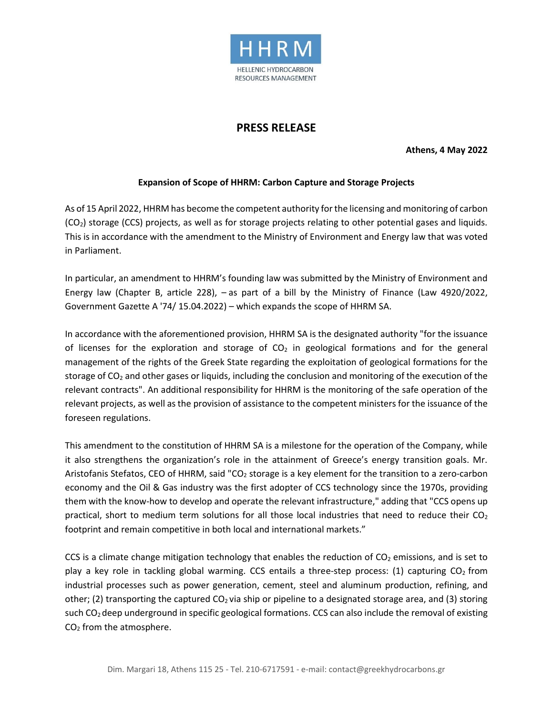

## **PRESS RELEASE**

**Athens, 4 May 2022**

## **Expansion of Scope of HHRM: Carbon Capture and Storage Projects**

As of 15 April 2022, HHRM has become the competent authority for the licensing and monitoring of carbon  $(CO<sub>2</sub>)$  storage (CCS) projects, as well as for storage projects relating to other potential gases and liquids. This is in accordance with the amendment to the Ministry of Environment and Energy law that was voted in Parliament.

In particular, an amendment to HHRM's founding law was submitted by the Ministry of Environment and Energy law (Chapter B, article 228), – as part of a bill by the Ministry of Finance (Law 4920/2022, Government Gazette A '74/ 15.04.2022) – which expands the scope of HHRM SA.

In accordance with the aforementioned provision, HHRM SA is the designated authority "for the issuance of licenses for the exploration and storage of  $CO<sub>2</sub>$  in geological formations and for the general management of the rights of the Greek State regarding the exploitation of geological formations for the storage of CO<sub>2</sub> and other gases or liquids, including the conclusion and monitoring of the execution of the relevant contracts". An additional responsibility for HHRM is the monitoring of the safe operation of the relevant projects, as well as the provision of assistance to the competent ministers for the issuance of the foreseen regulations.

This amendment to the constitution of HHRM SA is a milestone for the operation of the Company, while it also strengthens the organization's role in the attainment of Greece's energy transition goals. Mr. Aristofanis Stefatos, CEO of HHRM, said "CO<sub>2</sub> storage is a key element for the transition to a zero-carbon economy and the Oil & Gas industry was the first adopter of CCS technology since the 1970s, providing them with the know-how to develop and operate the relevant infrastructure," adding that "CCS opens up practical, short to medium term solutions for all those local industries that need to reduce their  $CO<sub>2</sub>$ footprint and remain competitive in both local and international markets."

CCS is a climate change mitigation technology that enables the reduction of  $CO<sub>2</sub>$  emissions, and is set to play a key role in tackling global warming. CCS entails a three-step process: (1) capturing  $CO<sub>2</sub>$  from industrial processes such as power generation, cement, steel and aluminum production, refining, and other; (2) transporting the captured  $CO<sub>2</sub>$  via ship or pipeline to a designated storage area, and (3) storing such  $CO<sub>2</sub>$  deep underground in specific geological formations. CCS can also include the removal of existing CO<sup>2</sup> from the atmosphere.